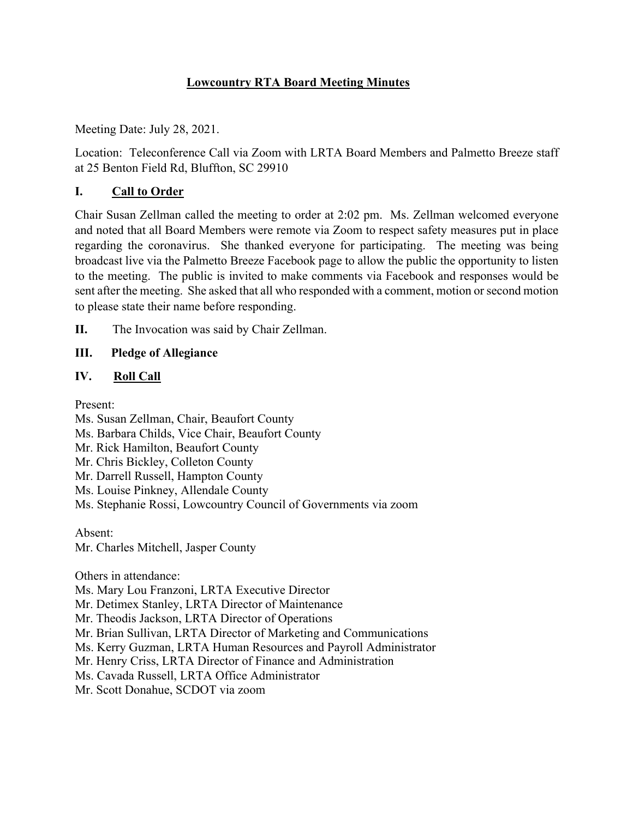# **Lowcountry RTA Board Meeting Minutes**

Meeting Date: July 28, 2021.

Location: Teleconference Call via Zoom with LRTA Board Members and Palmetto Breeze staff at 25 Benton Field Rd, Bluffton, SC 29910

# **I. Call to Order**

Chair Susan Zellman called the meeting to order at 2:02 pm. Ms. Zellman welcomed everyone and noted that all Board Members were remote via Zoom to respect safety measures put in place regarding the coronavirus. She thanked everyone for participating. The meeting was being broadcast live via the Palmetto Breeze Facebook page to allow the public the opportunity to listen to the meeting. The public is invited to make comments via Facebook and responses would be sent after the meeting. She asked that all who responded with a comment, motion or second motion to please state their name before responding.

**II.** The Invocation was said by Chair Zellman.

# **III. Pledge of Allegiance**

# **IV. Roll Call**

Present:

Ms. Susan Zellman, Chair, Beaufort County Ms. Barbara Childs, Vice Chair, Beaufort County Mr. Rick Hamilton, Beaufort County Mr. Chris Bickley, Colleton County Mr. Darrell Russell, Hampton County Ms. Louise Pinkney, Allendale County Ms. Stephanie Rossi, Lowcountry Council of Governments via zoom

Absent: Mr. Charles Mitchell, Jasper County

Others in attendance:

Ms. Mary Lou Franzoni, LRTA Executive Director

Mr. Detimex Stanley, LRTA Director of Maintenance

Mr. Theodis Jackson, LRTA Director of Operations

Mr. Brian Sullivan, LRTA Director of Marketing and Communications

Ms. Kerry Guzman, LRTA Human Resources and Payroll Administrator

Mr. Henry Criss, LRTA Director of Finance and Administration

Ms. Cavada Russell, LRTA Office Administrator

Mr. Scott Donahue, SCDOT via zoom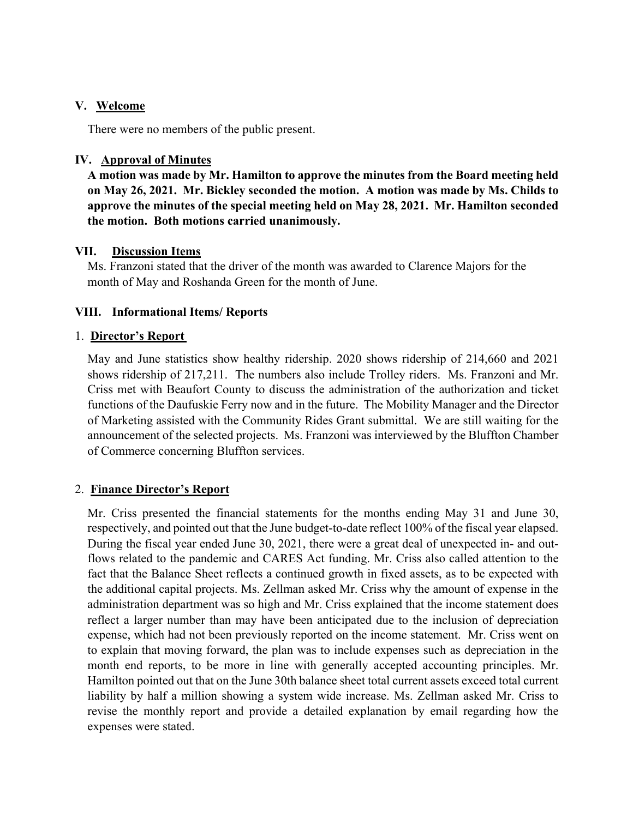#### **V. Welcome**

There were no members of the public present.

### **IV. Approval of Minutes**

**A motion was made by Mr. Hamilton to approve the minutes from the Board meeting held on May 26, 2021. Mr. Bickley seconded the motion. A motion was made by Ms. Childs to approve the minutes of the special meeting held on May 28, 2021. Mr. Hamilton seconded the motion. Both motions carried unanimously.**

### **VII. Discussion Items**

Ms. Franzoni stated that the driver of the month was awarded to Clarence Majors for the month of May and Roshanda Green for the month of June.

## **VIII. Informational Items/ Reports**

### 1. **Director's Report**

May and June statistics show healthy ridership. 2020 shows ridership of 214,660 and 2021 shows ridership of 217,211. The numbers also include Trolley riders. Ms. Franzoni and Mr. Criss met with Beaufort County to discuss the administration of the authorization and ticket functions of the Daufuskie Ferry now and in the future. The Mobility Manager and the Director of Marketing assisted with the Community Rides Grant submittal. We are still waiting for the announcement of the selected projects. Ms. Franzoni was interviewed by the Bluffton Chamber of Commerce concerning Bluffton services.

## 2. **Finance Director's Report**

Mr. Criss presented the financial statements for the months ending May 31 and June 30, respectively, and pointed out that the June budget-to-date reflect 100% of the fiscal year elapsed. During the fiscal year ended June 30, 2021, there were a great deal of unexpected in- and outflows related to the pandemic and CARES Act funding. Mr. Criss also called attention to the fact that the Balance Sheet reflects a continued growth in fixed assets, as to be expected with the additional capital projects. Ms. Zellman asked Mr. Criss why the amount of expense in the administration department was so high and Mr. Criss explained that the income statement does reflect a larger number than may have been anticipated due to the inclusion of depreciation expense, which had not been previously reported on the income statement. Mr. Criss went on to explain that moving forward, the plan was to include expenses such as depreciation in the month end reports, to be more in line with generally accepted accounting principles. Mr. Hamilton pointed out that on the June 30th balance sheet total current assets exceed total current liability by half a million showing a system wide increase. Ms. Zellman asked Mr. Criss to revise the monthly report and provide a detailed explanation by email regarding how the expenses were stated.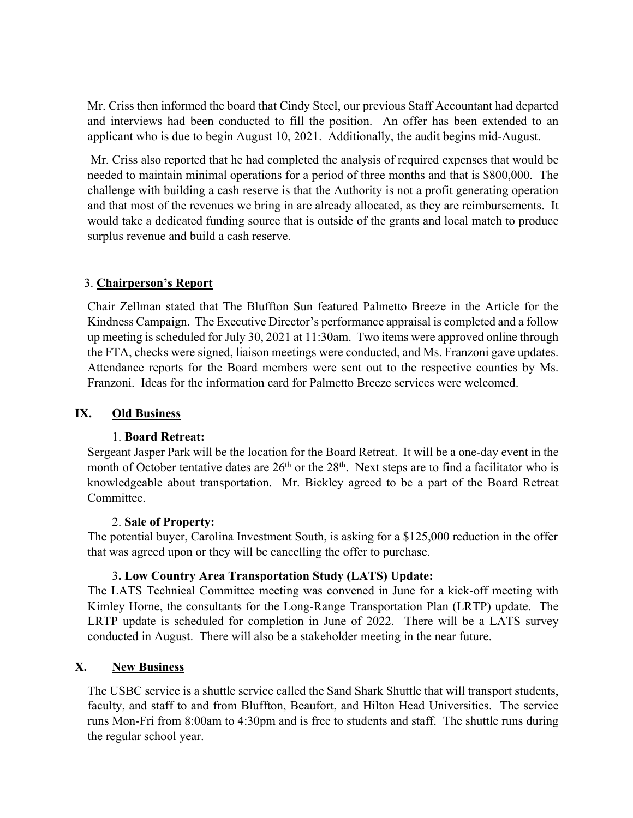Mr. Criss then informed the board that Cindy Steel, our previous Staff Accountant had departed and interviews had been conducted to fill the position. An offer has been extended to an applicant who is due to begin August 10, 2021. Additionally, the audit begins mid-August.

Mr. Criss also reported that he had completed the analysis of required expenses that would be needed to maintain minimal operations for a period of three months and that is \$800,000. The challenge with building a cash reserve is that the Authority is not a profit generating operation and that most of the revenues we bring in are already allocated, as they are reimbursements. It would take a dedicated funding source that is outside of the grants and local match to produce surplus revenue and build a cash reserve.

#### 3. **Chairperson's Report**

Chair Zellman stated that The Bluffton Sun featured Palmetto Breeze in the Article for the Kindness Campaign. The Executive Director's performance appraisal is completed and a follow up meeting is scheduled for July 30, 2021 at 11:30am. Two items were approved online through the FTA, checks were signed, liaison meetings were conducted, and Ms. Franzoni gave updates. Attendance reports for the Board members were sent out to the respective counties by Ms. Franzoni. Ideas for the information card for Palmetto Breeze services were welcomed.

#### **IX. Old Business**

#### 1. **Board Retreat:**

Sergeant Jasper Park will be the location for the Board Retreat. It will be a one-day event in the month of October tentative dates are  $26<sup>th</sup>$  or the  $28<sup>th</sup>$ . Next steps are to find a facilitator who is knowledgeable about transportation. Mr. Bickley agreed to be a part of the Board Retreat Committee.

#### 2. **Sale of Property:**

The potential buyer, Carolina Investment South, is asking for a \$125,000 reduction in the offer that was agreed upon or they will be cancelling the offer to purchase.

## 3**. Low Country Area Transportation Study (LATS) Update:**

The LATS Technical Committee meeting was convened in June for a kick-off meeting with Kimley Horne, the consultants for the Long-Range Transportation Plan (LRTP) update. The LRTP update is scheduled for completion in June of 2022. There will be a LATS survey conducted in August. There will also be a stakeholder meeting in the near future.

## **X. New Business**

The USBC service is a shuttle service called the Sand Shark Shuttle that will transport students, faculty, and staff to and from Bluffton, Beaufort, and Hilton Head Universities. The service runs Mon-Fri from 8:00am to 4:30pm and is free to students and staff. The shuttle runs during the regular school year.